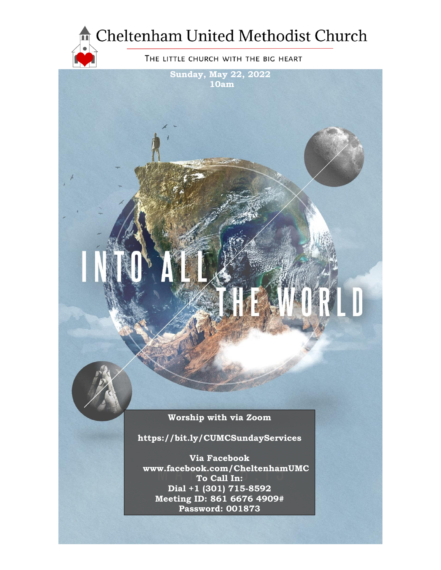

**Sunday, May 22, 2022 10am**

**Worship with via Zoom**

**https://bit.ly/CUMCSundayServices**

**Via Facebook www.facebook.com/CheltenhamUMC To Call In: Dial +1 (301) 715-8592 Meeting ID: 861 6676 4909# Password: 001873**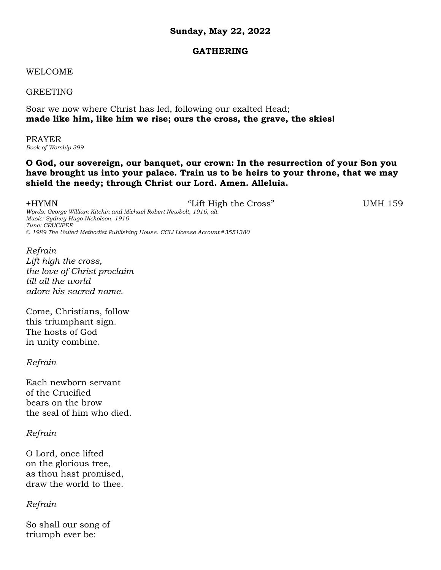## **Sunday, May 22, 2022**

### **GATHERING**

### WELCOME

GREETING

Soar we now where Christ has led, following our exalted Head; **made like him, like him we rise; ours the cross, the grave, the skies!**

PRAYER *Book of Worship 399*

## **O God, our sovereign, our banquet, our crown: In the resurrection of your Son you have brought us into your palace. Train us to be heirs to your throne, that we may shield the needy; through Christ our Lord. Amen. Alleluia.**

+HYMN "Lift High the Cross" UMH 159 *Words: George William Kitchin and Michael Robert Newbolt, 1916, alt. Music: Sydney Hugo Nicholson, 1916 Tune: CRUCIFER © 1989 The United Methodist Publishing House. CCLI License Account #3551380*

*Refrain Lift high the cross, the love of Christ proclaim till all the world adore his sacred name.*

Come, Christians, follow this triumphant sign. The hosts of God in unity combine.

*Refrain*

Each newborn servant of the Crucified bears on the brow the seal of him who died.

*Refrain*

O Lord, once lifted on the glorious tree, as thou hast promised, draw the world to thee.

*Refrain*

So shall our song of triumph ever be: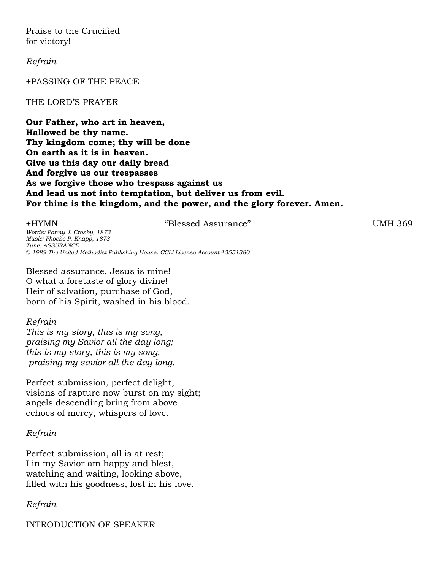Praise to the Crucified for victory!

*Refrain*

+PASSING OF THE PEACE

#### THE LORD'S PRAYER

**Our Father, who art in heaven, Hallowed be thy name. Thy kingdom come; thy will be done On earth as it is in heaven. Give us this day our daily bread And forgive us our trespasses As we forgive those who trespass against us And lead us not into temptation, but deliver us from evil. For thine is the kingdom, and the power, and the glory forever. Amen.**

+HYMN "Blessed Assurance" UMH 369

*Words: Fanny J. Crosby, 1873 Music: Phoebe P. Knapp, 1873 Tune: ASSURANCE © 1989 The United Methodist Publishing House. CCLI License Account #3551380*

Blessed assurance, Jesus is mine! O what a foretaste of glory divine! Heir of salvation, purchase of God, born of his Spirit, washed in his blood.

#### *Refrain*

*This is my story, this is my song, praising my Savior all the day long; this is my story, this is my song, praising my savior all the day long.* 

Perfect submission, perfect delight, visions of rapture now burst on my sight; angels descending bring from above echoes of mercy, whispers of love.

#### *Refrain*

Perfect submission, all is at rest; I in my Savior am happy and blest, watching and waiting, looking above, filled with his goodness, lost in his love.

#### *Refrain*

INTRODUCTION OF SPEAKER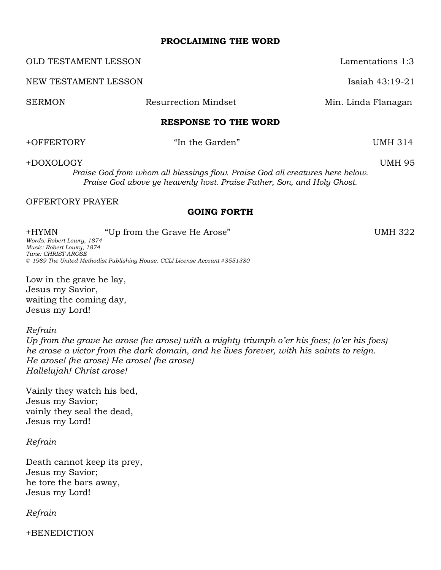#### **PROCLAIMING THE WORD**

OLD TESTAMENT LESSON Lamentations 1:3 NEW TESTAMENT LESSON **Isaiah 43:19-21** SERMON Resurrection Mindset Min. Linda Flanagan **RESPONSE TO THE WORD** +OFFERTORY "In the Garden" UMH 314

+DOXOLOGY UMH 95

*Praise God from whom all blessings flow. Praise God all creatures here below. Praise God above ye heavenly host. Praise Father, Son, and Holy Ghost.*

#### OFFERTORY PRAYER

## **GOING FORTH**

+HYMN "Up from the Grave He Arose" UMH 322 *Words: Robert Lowry, 1874 Music: Robert Lowry, 1874 Tune: CHRIST AROSE © 1989 The United Methodist Publishing House. CCLI License Account #3551380*

Low in the grave he lay, Jesus my Savior, waiting the coming day, Jesus my Lord!

*Refrain* 

*Up from the grave he arose (he arose) with a mighty triumph o'er his foes; (o'er his foes) he arose a victor from the dark domain, and he lives forever, with his saints to reign. He arose! (he arose) He arose! (he arose) Hallelujah! Christ arose!*

Vainly they watch his bed, Jesus my Savior; vainly they seal the dead, Jesus my Lord!

*Refrain*

Death cannot keep its prey, Jesus my Savior; he tore the bars away, Jesus my Lord!

*Refrain*

+BENEDICTION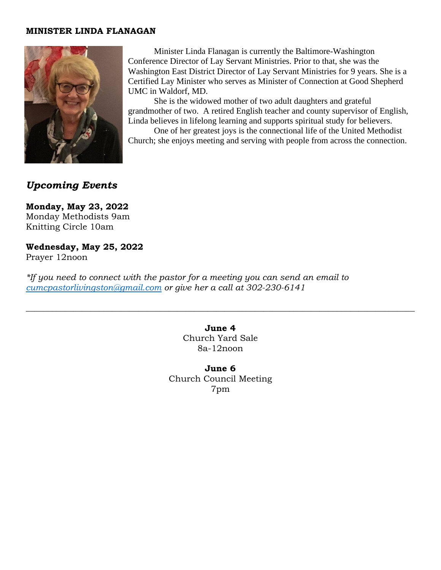#### **MINISTER LINDA FLANAGAN**



Minister Linda Flanagan is currently the Baltimore-Washington Conference Director of Lay Servant Ministries. Prior to that, she was the Washington East District Director of Lay Servant Ministries for 9 years. She is a Certified Lay Minister who serves as Minister of Connection at Good Shepherd UMC in Waldorf, MD.

She is the widowed mother of two adult daughters and grateful grandmother of two. A retired English teacher and county supervisor of English, Linda believes in lifelong learning and supports spiritual study for believers.

One of her greatest joys is the connectional life of the United Methodist Church; she enjoys meeting and serving with people from across the connection.

# *Upcoming Events*

**Monday, May 23, 2022** Monday Methodists 9am Knitting Circle 10am

**Wednesday, May 25, 2022** Prayer 12noon

*\*If you need to connect with the pastor for a meeting you can send an email to [cumcpastorlivingston@gmail.com](mailto:cumcpastorlivingston@gmail.com) or give her a call at 302-230-6141*

> **June 4** Church Yard Sale 8a-12noon

 $\_$  , and the set of the set of the set of the set of the set of the set of the set of the set of the set of the set of the set of the set of the set of the set of the set of the set of the set of the set of the set of th

**June 6**  Church Council Meeting 7pm